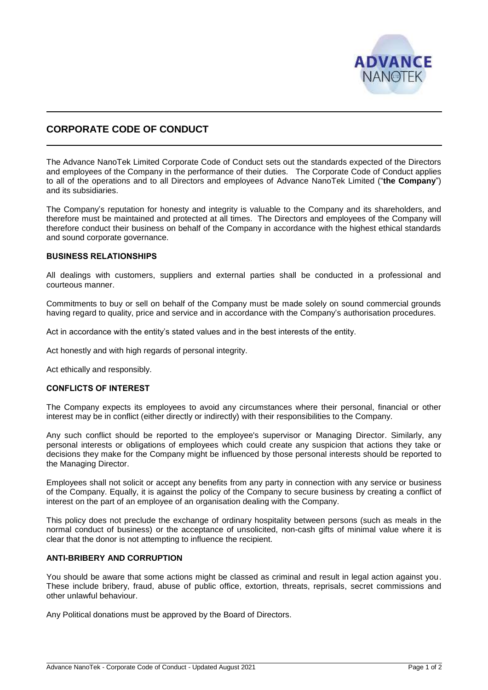

# **CORPORATE CODE OF CONDUCT**

The Advance NanoTek Limited Corporate Code of Conduct sets out the standards expected of the Directors and employees of the Company in the performance of their duties. The Corporate Code of Conduct applies to all of the operations and to all Directors and employees of Advance NanoTek Limited ("**the Company**") and its subsidiaries.

The Company's reputation for honesty and integrity is valuable to the Company and its shareholders, and therefore must be maintained and protected at all times. The Directors and employees of the Company will therefore conduct their business on behalf of the Company in accordance with the highest ethical standards and sound corporate governance.

# **BUSINESS RELATIONSHIPS**

All dealings with customers, suppliers and external parties shall be conducted in a professional and courteous manner.

Commitments to buy or sell on behalf of the Company must be made solely on sound commercial grounds having regard to quality, price and service and in accordance with the Company's authorisation procedures.

Act in accordance with the entity's stated values and in the best interests of the entity.

Act honestly and with high regards of personal integrity.

Act ethically and responsibly.

#### **CONFLICTS OF INTEREST**

The Company expects its employees to avoid any circumstances where their personal, financial or other interest may be in conflict (either directly or indirectly) with their responsibilities to the Company.

Any such conflict should be reported to the employee's supervisor or Managing Director. Similarly, any personal interests or obligations of employees which could create any suspicion that actions they take or decisions they make for the Company might be influenced by those personal interests should be reported to the Managing Director.

Employees shall not solicit or accept any benefits from any party in connection with any service or business of the Company. Equally, it is against the policy of the Company to secure business by creating a conflict of interest on the part of an employee of an organisation dealing with the Company.

This policy does not preclude the exchange of ordinary hospitality between persons (such as meals in the normal conduct of business) or the acceptance of unsolicited, non-cash gifts of minimal value where it is clear that the donor is not attempting to influence the recipient.

### **ANTI-BRIBERY AND CORRUPTION**

You should be aware that some actions might be classed as criminal and result in legal action against you. These include bribery, fraud, abuse of public office, extortion, threats, reprisals, secret commissions and other unlawful behaviour.

Any Political donations must be approved by the Board of Directors.